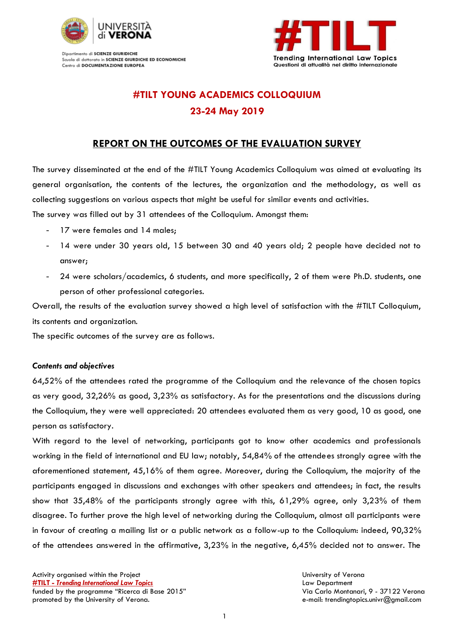

Dipartimento di SCIENZE GIURIDICHE Scuola di dottorato in SCIENZE GIURDICHE ED ECONOMICHE Centro di DOCUMENTAZIONE EUROPEA



# **#TILT YOUNG ACADEMICS COLLOQUIUM 23-24 May 2019**

## **REPORT ON THE OUTCOMES OF THE EVALUATION SURVEY**

The survey disseminated at the end of the #TILT Young Academics Colloquium was aimed at evaluating its general organisation, the contents of the lectures, the organization and the methodology, as well as collecting suggestions on various aspects that might be useful for similar events and activities. The survey was filled out by 31 attendees of the Colloquium. Amongst them:

- 17 were females and 14 males;
- 14 were under 30 years old, 15 between 30 and 40 years old; 2 people have decided not to answer;
- 24 were scholars/academics, 6 students, and more specifically, 2 of them were Ph.D. students, one person of other professional categories.

Overall, the results of the evaluation survey showed a high level of satisfaction with the #TILT Colloquium, its contents and organization.

The specific outcomes of the survey are as follows.

### *Contents and objectives*

64,52% of the attendees rated the programme of the Colloquium and the relevance of the chosen topics as very good, 32,26% as good, 3,23% as satisfactory. As for the presentations and the discussions during the Colloquium, they were well appreciated: 20 attendees evaluated them as very good, 10 as good, one person as satisfactory.

With regard to the level of networking, participants got to know other academics and professionals working in the field of international and EU law; notably, 54,84% of the attendees strongly agree with the aforementioned statement, 45,16% of them agree. Moreover, during the Colloquium, the majority of the participants engaged in discussions and exchanges with other speakers and attendees; in fact, the results show that 35,48% of the participants strongly agree with this, 61,29% agree, only 3,23% of them disagree. To further prove the high level of networking during the Colloquium, almost all participants were in favour of creating a mailing list or a public network as a follow-up to the Colloquium: indeed, 90,32% of the attendees answered in the affirmative, 3,23% in the negative, 6,45% decided not to answer. The